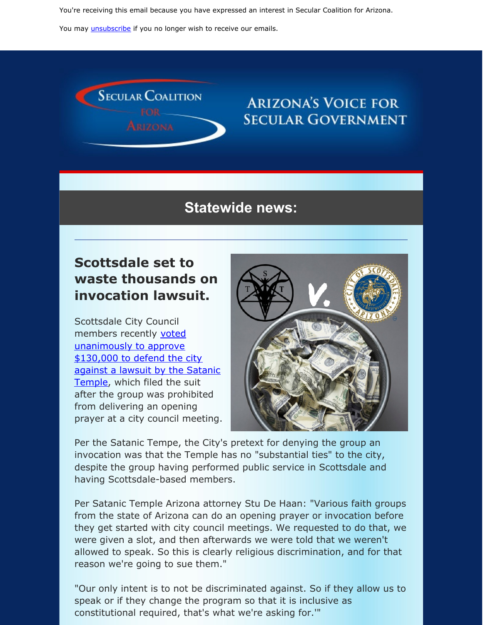You're receiving this email because you have expressed an interest in Secular Coalition for Arizona.

You may *[unsubscribe](https://visitor.constantcontact.com/do?p=un&m=001P9cdir9A6TjtWqZlUS4EUA%3D%3D&ch=&ca=785c6835-62b8-40c2-a971-e70d25b007d0)* if you no longer wish to receive our emails.



### **ARIZONA'S VOICE FOR SECULAR GOVERNMENT**

#### **Statewide news:**

### **Scottsdale set to waste thousands on invocation lawsuit.**

Scottsdale City Council members recently voted [unanimously](https://www.fox10phoenix.com/news/city-of-scottsdale-approves-additional-funds-for-legal-defense-in-lawsuit-against-satanic-temple) to approve \$130,000 to defend the city against a lawsuit by the Satanic Temple, which filed the suit after the group was prohibited from delivering an opening prayer at a city council meeting.



Per the Satanic Tempe, the City's pretext for denying the group an invocation was that the Temple has no "substantial ties" to the city, despite the group having performed public service in Scottsdale and having Scottsdale-based members.

Per Satanic Temple Arizona attorney Stu De Haan: "Various faith groups from the state of Arizona can do an opening prayer or invocation before they get started with city council meetings. We requested to do that, we were given a slot, and then afterwards we were told that we weren't allowed to speak. So this is clearly religious discrimination, and for that reason we're going to sue them."

"Our only intent is to not be discriminated against. So if they allow us to speak or if they change the program so that it is inclusive as constitutional required, that's what we're asking for.'"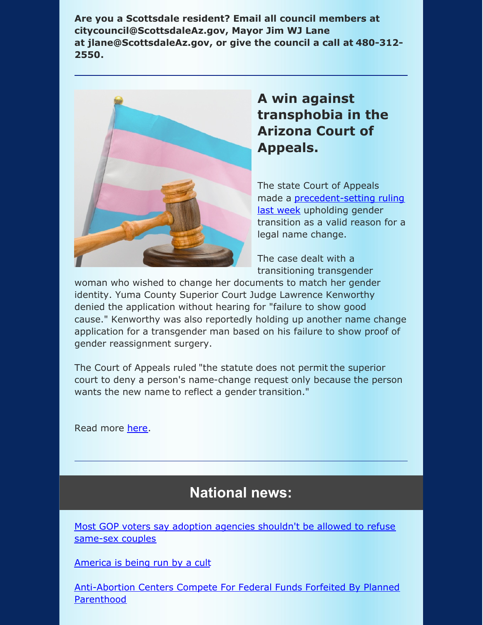**Are you a Scottsdale resident? Email all council members at citycouncil@ScottsdaleAz.gov, Mayor Jim WJ Lane at jlane@ScottsdaleAz.gov, or give the council a call at 480-312- 2550.**



## **A win against transphobia in the Arizona Court of Appeals.**

The state Court of Appeals made a [precedent-setting](https://www.azcourts.gov/Portals/0/OpinionFiles/Div1/2019/1 CA-CV 19-0266 - In Re Cortez - FINAL.pdf?fbclid=IwAR1qR3JTrdDQ9jyHhjVYNC8wfZ1kRK0uRzOPP4Ym3b1otB3TG55rWAH0VKc) ruling last week upholding gender transition as a valid reason for a legal name change.

The case dealt with a transitioning transgender

woman who wished to change her documents to match her gender identity. Yuma County Superior Court Judge Lawrence Kenworthy denied the application without hearing for "failure to show good cause." Kenworthy was also reportedly holding up another name change application for a transgender man based on his failure to show proof of gender reassignment surgery.

The Court of Appeals ruled "the statute does not permit the superior court to deny a person's name-change request only because the person wants the new name to reflect a gender transition."

Read more [here](https://www.phoenixnewtimes.com/news/transgender-arizona-court-appeals-name-change-judge-kenworthy-11402618).

# **National news:**

Most GOP voters say adoption agencies shouldn't be allowed to refuse [same-sex](https://thehill.com/hilltv/rising/471123-majority-of-gop-voters-say-adoption-agencies-shouldnt-be-allowed-to-refuse-same-sex-couples?fbclid=IwAR1DuzLeTJGi_K-Qx6t9EoblcURMZW9BLxn28REs_IN1Jnp9RVnTSh0awPE) couples

[America](https://medium.com/@Shesreallyfat/america-is-being-run-by-a-cult-7f5d7af7be8a) is being run by a cult

[Anti-Abortion](https://www.huffpost.com/entry/the-source-planned-parenthood-funding_n_5dcec005e4b01f982f00e4d4?fbclid=IwAR1brwycBV9CJMyMlRY-CkWxmT3vTXDTtVHfIbgal3NbSt0OWQ_A7hCrS_8) Centers Compete For Federal Funds Forfeited By Planned Parenthood